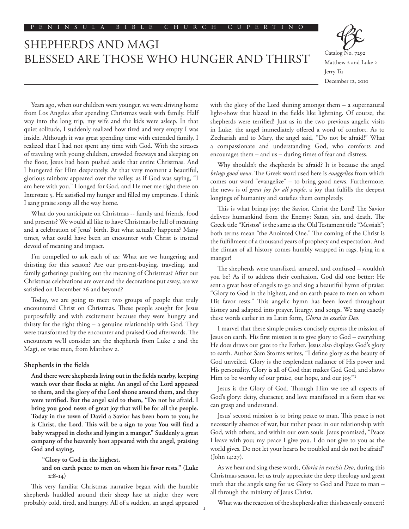# SHEPHERDS AND MAGI BLESSED ARE THOSE WHO HUNGER AND THIRST Catalog No. 7292



Matthew 2 and Luke 2 Jerry Tu December 12, 2010

Years ago, when our children were younger, we were driving home from Los Angeles after spending Christmas week with family. Half way into the long trip, my wife and the kids were asleep. In that quiet solitude, I suddenly realized how tired and very empty I was inside. Although it was great spending time with extended family, I realized that I had not spent any time with God. With the stresses of traveling with young children, crowded freeways and sleeping on the floor, Jesus had been pushed aside that entire Christmas. And I hungered for Him desperately. At that very moment a beautiful, glorious rainbow appeared over the valley, as if God was saying, "I am here with you." I longed for God, and He met me right there on Interstate 5. He satisfied my hunger and filled my emptiness. I think I sang praise songs all the way home.

What do you anticipate on Christmas -- family and friends, food and presents? We would all like to have Christmas be full of meaning and a celebration of Jesus' birth. But what actually happens? Many times, what could have been an encounter with Christ is instead devoid of meaning and impact.

I'm compelled to ask each of us: What are we hungering and thirsting for this season? Are our present-buying, traveling, and family gatherings pushing out the meaning of Christmas? After our Christmas celebrations are over and the decorations put away, are we satisfied on December 26 and beyond?

Today, we are going to meet two groups of people that truly encountered Christ on Christmas. These people sought for Jesus purposefully and with excitement because they were hungry and thirsty for the right thing – a genuine relationship with God. They were transformed by the encounter and praised God afterwards. The encounters we'll consider are the shepherds from Luke 2 and the Magi, or wise men, from Matthew 2.

# **Shepherds in the fields**

**And there were shepherds living out in the fields nearby, keeping watch over their flocks at night. An angel of the Lord appeared to them, and the glory of the Lord shone around them, and they were terrified. But the angel said to them, "Do not be afraid. I bring you good news of great joy that will be for all the people. Today in the town of David a Savior has been born to you; he is Christ, the Lord. This will be a sign to you: You will find a baby wrapped in cloths and lying in a manger." Suddenly a great company of the heavenly host appeared with the angel, praising God and saying,**

 **"Glory to God in the highest,**

 **and on earth peace to men on whom his favor rests." (Luke 2:8-14)**

This very familiar Christmas narrative began with the humble shepherds huddled around their sheep late at night; they were probably cold, tired, and hungry. All of a sudden, an angel appeared with the glory of the Lord shining amongst them – a supernatural light-show that blazed in the fields like lightning. Of course, the shepherds were terrified! Just as in the two previous angelic visits in Luke, the angel immediately offered a word of comfort. As to Zechariah and to Mary, the angel said, "Do not be afraid!" What a compassionate and understanding God, who comforts and encourages them – and us – during times of fear and distress.

Why shouldn't the shepherds be afraid? It is because the angel *brings good news*. The Greek word used here is *euaggelizo* from which comes our word "evangelize" – to bring good news. Furthermore, the news is of *great joy for all people*, a joy that fulfills the deepest longings of humanity and satisfies them completely.

This is what brings joy: the Savior, Christ the Lord! The Savior delivers humankind from the Enemy: Satan, sin, and death. The Greek title "Kristos" is the same as the Old Testament title "Messiah"; both terms mean "the Anointed One." The coming of the Christ is the fulfillment of a thousand years of prophecy and expectation. And the climax of all history comes humbly wrapped in rags, lying in a manger!

The shepherds were transfixed, amazed, and confused – wouldn't you be? As if to address their confusion, God did one better: He sent a great host of angels to go and sing a beautiful hymn of praise: "Glory to God in the highest, and on earth peace to men on whom His favor rests." This angelic hymn has been loved throughout history and adapted into prayer, liturgy, and songs. We sang exactly these words earlier in its Latin form, *Gloria in excelsis Deo*.

I marvel that these simple praises concisely express the mission of Jesus on earth. His first mission is to give glory to God – everything He does draws our gaze to the Father. Jesus also displays God's glory to earth. Author Sam Storms writes, "I define glory as the beauty of God unveiled. Glory is the resplendent radiance of His power and His personality. Glory is all of God that makes God God, and shows Him to be worthy of our praise, our hope, and our joy."1

Jesus is the Glory of God. Through Him we see all aspects of God's glory: deity, character, and love manifested in a form that we can grasp and understand.

Jesus' second mission is to bring peace to man. This peace is not necessarily absence of war, but rather peace in our relationship with God, with others, and within our own souls. Jesus promised, "Peace I leave with you; my peace I give you. I do not give to you as the world gives. Do not let your hearts be troubled and do not be afraid" (John 14:27).

As we hear and sing these words, *Gloria in excelsis Deo*, during this Christmas season, let us truly appreciate the deep theology and great truth that the angels sang for us: Glory to God and Peace to man – all through the ministry of Jesus Christ.

What was the reaction of the shepherds after this heavenly concert?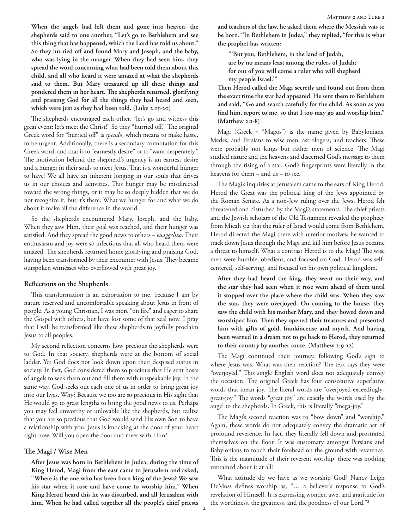**When the angels had left them and gone into heaven, the shepherds said to one another, "Let's go to Bethlehem and see this thing that has happened, which the Lord has told us about." So they hurried off and found Mary and Joseph, and the baby, who was lying in the manger. When they had seen him, they spread the word concerning what had been told them about this child, and all who heard it were amazed at what the shepherds said to them. But Mary treasured up all these things and pondered them in her heart. The shepherds returned, glorifying and praising God for all the things they had heard and seen, which were just as they had been told. (Luke 2:15-20)**

The shepherds encouraged each other, "let's go and witness this great event; let's meet the Christ!" So they "hurried off." The original Greek word for "hurried off" is *speudo*, which means to make haste, to be urgent. Additionally, there is a secondary connotation for this Greek word, and that is to "earnestly desire" or to "want desperately." The motivation behind the shepherd's urgency is an earnest desire and a hunger in their souls to meet Jesus. That is a wonderful hunger to have! We all have an inherent longing in our souls that drives us in our choices and activities. This hunger may be misdirected toward the wrong things, or it may be so deeply hidden that we do not recognize it, but it's there. What we hunger for and what we do about it make all the difference in the world.

So the shepherds encountered Mary, Joseph, and the baby. When they saw Him, their goal was reached, and their hunger was satisfied. And they spread the good news to others – *euaggelizo*. Their enthusiasm and joy were so infectious that all who heard them were amazed. The shepherds returned home glorifying and praising God, having been transformed by their encounter with Jesus. They became outspoken witnesses who overflowed with great joy.

#### **Reflections on the Shepherds**

This transformation is an exhortation to me, because I am by nature reserved and uncomfortable speaking about Jesus in front of people. As a young Christian, I was more "on fire" and eager to share the Gospel with others, but have lost some of that zeal now. I pray that I will be transformed like these shepherds to joyfully proclaim Jesus to all peoples.

My second reflection concerns how precious the shepherds were to God. In that society, shepherds were at the bottom of social ladder. Yet God does not look down upon their despised status in society. In fact, God considered them so precious that He sent hosts of angels to seek them out and fill them with unspeakable joy. In the same way, God seeks out each one of us in order to bring great joy into our lives. Why? Because we too are so precious in His sight that He would go to great lengths to bring the good news to us. Perhaps you may feel unworthy or unlovable like the shepherds, but realize that you are so precious that God would send His own Son to have a relationship with you. Jesus is knocking at the door of your heart right now. Will you open the door and meet with Him?

# **The Magi / Wise Men**

**After Jesus was born in Bethlehem in Judea, during the time of King Herod, Magi from the east came to Jerusalem and asked, "Where is the one who has been born king of the Jews? We saw his star when it rose and have come to worship him." When King Herod heard this he was disturbed, and all Jerusalem with him. When he had called together all the people's chief priests** 

**and teachers of the law, he asked them where the Messiah was to be born. "In Bethlehem in Judea," they replied, "for this is what the prophet has written:**

 **"'But you, Bethlehem, in the land of Judah, are by no means least among the rulers of Judah; for out of you will come a ruler who will shepherd my people Israel.'"**

**Then Herod called the Magi secretly and found out from them the exact time the star had appeared. He sent them to Bethlehem and said, "Go and search carefully for the child. As soon as you find him, report to me, so that I too may go and worship him." (Matthew 2:1-8)**

Magi (Greek = "Magos") is the name given by Babylonians, Medes, and Persians to wise men, astrologers, and teachers. These were probably not kings but rather men of science. The Magi studied nature and the heavens and discerned God's message to them through the rising of a star. God's fingerprints were literally in the heavens for them – and us – to see.

The Magi's inquiries at Jerusalem came to the ears of King Herod. Herod the Great was the political king of the Jews appointed by the Roman Senate. As a non-Jew ruling over the Jews, Herod felt threatened and disturbed by the Magi's statements. The chief priests and the Jewish scholars of the Old Testament revealed the prophecy from Micah 5:2 that the ruler of Israel would come from Bethlehem. Herod directed the Magi there with ulterior motives; he wanted to track down Jesus through the Magi and kill him before Jesus became a threat to himself. What a contrast Herod is to the Magi! The wise men were humble, obedient, and focused on God. Herod was selfcentered, self-serving, and focused on his own political kingdom.

**After they had heard the king, they went on their way, and the star they had seen when it rose went ahead of them until it stopped over the place where the child was. When they saw the star, they were overjoyed. On coming to the house, they saw the child with his mother Mary, and they bowed down and worshiped him. Then they opened their treasures and presented him with gifts of gold, frankincense and myrrh. And having been warned in a dream not to go back to Herod, they returned to their country by another route. (Matthew 2:9-12)**

The Magi continued their journey, following God's sign to where Jesus was. What was their reaction? The text says they were "overjoyed." This single English word does not adequately convey the occasion. The original Greek has four consecutive superlative words that mean joy. The literal words are "overjoyed-exceedinglygreat-joy." The words "great joy" are exactly the words used by the angel to the shepherds. In Greek, this is literally "mega-joy."

The Magi's second reaction was to "bow down" and "worship." Again, these words do not adequately convey the dramatic act of profound reverence. In fact, they literally fell down and prostrated themselves on the floor. It was customary amongst Persians and Babylonians to touch their forehead on the ground with reverence. This is the magnitude of their reverent worship; there was nothing restrained about it at all!

What attitude do we have as we worship God? Nancy Leigh DeMoss defines worship as, "… a believer's response to God's revelation of Himself. It is expressing wonder, awe, and gratitude for the worthiness, the greatness, and the goodness of our Lord."2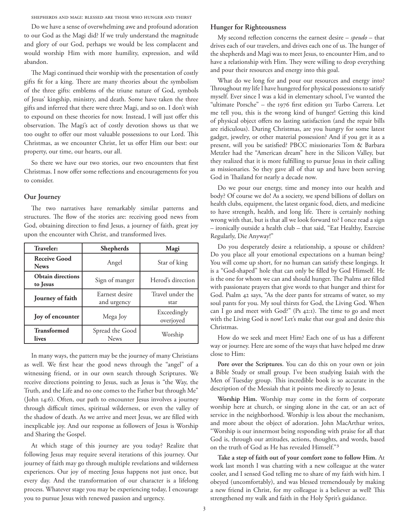Shepherds and Magi: Blessed Are Those Who Hunger and Thirst

Do we have a sense of overwhelming awe and profound adoration to our God as the Magi did? If we truly understand the magnitude and glory of our God, perhaps we would be less complacent and would worship Him with more humility, expression, and wild abandon.

The Magi continued their worship with the presentation of costly gifts fit for a king. There are many theories about the symbolism of the three gifts: emblems of the triune nature of God, symbols of Jesus' kingship, ministry, and death. Some have taken the three gifts and inferred that there were three Magi, and so on. I don't wish to expound on these theories for now. Instead, I will just offer this observation. The Magi's act of costly devotion shows us that we too ought to offer our most valuable possessions to our Lord. This Christmas, as we encounter Christ, let us offer Him our best: our property, our time, our hearts, our all.

So there we have our two stories, our two encounters that first Christmas. I now offer some reflections and encouragements for you to consider.

# **Our Journey**

The two narratives have remarkably similar patterns and structures. The flow of the stories are: receiving good news from God, obtaining direction to find Jesus, a journey of faith, great joy upon the encounter with Christ, and transformed lives.

| <b>Traveler:</b>                     | Shepherds                      | Magi                     |
|--------------------------------------|--------------------------------|--------------------------|
| <b>Receive Good</b><br><b>News</b>   | Angel                          | Star of king             |
| <b>Obtain directions</b><br>to Jesus | Sign of manger                 | Herod's direction        |
| Journey of faith                     | Earnest desire<br>and urgency  | Travel under the<br>star |
| Joy of encounter                     | Mega Joy                       | Exceedingly<br>overjoyed |
| <b>Transformed</b><br>lives          | Spread the Good<br><b>News</b> | Worship                  |

In many ways, the pattern may be the journey of many Christians as well. We first hear the good news through the "angel" of a witnessing friend, or in our own search through Scriptures. We receive directions pointing to Jesus, such as Jesus is "the Way, the Truth, and the Life and no one comes to the Father but through Me" (John 14:6). Often, our path to encounter Jesus involves a journey through difficult times, spiritual wilderness, or even the valley of the shadow of death. As we arrive and meet Jesus, we are filled with inexplicable joy. And our response as followers of Jesus is Worship and Sharing the Gospel.

At which stage of this journey are you today? Realize that following Jesus may require several iterations of this journey. Our journey of faith may go through multiple revelations and wilderness experiences. Our joy of meeting Jesus happens not just once, but every day. And the transformation of our character is a lifelong process. Whatever stage you may be experiencing today, I encourage you to pursue Jesus with renewed passion and urgency.

# **Hunger for Righteousness**

My second reflection concerns the earnest desire – *speudo* – that drives each of our travelers, and drives each one of us. The hunger of the shepherds and Magi was to meet Jesus, to encounter Him, and to have a relationship with Him. They were willing to drop everything and pour their resources and energy into this goal.

What do we long for and pour our resources and energy into? Throughout my life I have hungered for physical possessions to satisfy myself. Ever since I was a kid in elementary school, I've wanted the "ultimate Porsche" – the 1976 first edition 911 Turbo Carrera. Let me tell you, this is the wrong kind of hunger! Getting this kind of physical object offers no lasting satisfaction (and the repair bills are ridiculous). During Christmas, are you hungry for some latest gadget, jewelry, or other material possession? And if you get it as a present, will you be satisfied? PBCC missionaries Tom & Barbara Metzler had the "American dream" here in the Silicon Valley, but they realized that it is more fulfilling to pursue Jesus in their calling as missionaries. So they gave all of that up and have been serving God in Thailand for nearly a decade now.

Do we pour our energy, time and money into our health and body? Of course we do! As a society, we spend billions of dollars on health clubs, equipment, the latest organic food, diets, and medicine to have strength, health, and long life. There is certainly nothing wrong with that, but is that all we look forward to? I once read a sign – ironically outside a health club – that said, "Eat Healthy, Exercise Regularly, Die Anyway!"

Do you desperately desire a relationship, a spouse or children? Do you place all your emotional expectations on a human being? You will come up short, for no human can satisfy these longings. It is a "God-shaped" hole that can only be filled by God Himself. He is the one for whom we can and should hunger. The Psalms are filled with passionate prayers that give words to that hunger and thirst for God. Psalm 42 says, "As the deer pants for streams of water, so my soul pants for you. My soul thirsts for God, the Living God. When can I go and meet with God?" (Ps 42:1). The time to go and meet with the Living God is now! Let's make that our goal and desire this Christmas.

How do we seek and meet Him? Each one of us has a different way or journey. Here are some of the ways that have helped me draw close to Him:

**Pore over the Scriptures**. You can do this on your own or join a Bible Study or small group. I've been studying Isaiah with the Men of Tuesday group. This incredible book is so accurate in the description of the Messiah that it points me directly to Jesus.

**Worship Him.** Worship may come in the form of corporate worship here at church, or singing alone in the car, or an act of service in the neighborhood. Worship is less about the mechanism, and more about the object of adoration. John MacArthur writes, "Worship is our innermost being responding with praise for all that God is, through our attitudes, actions, thoughts, and words, based on the truth of God as He has revealed Himself."3

**Take a step of faith out of your comfort zone to follow Him.** At work last month I was chatting with a new colleague at the water cooler, and I sensed God telling me to share of my faith with him. I obeyed (uncomfortably), and was blessed tremendously by making a new friend in Christ, for my colleague is a believer as well! This strengthened my walk and faith in the Holy Sprit's guidance.